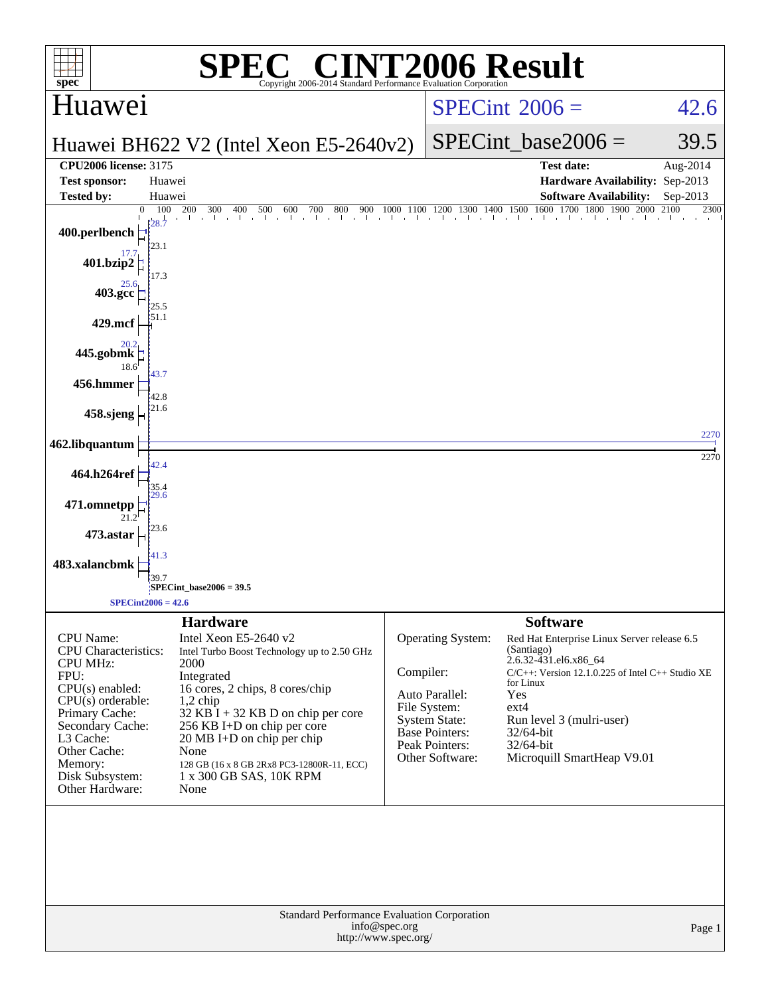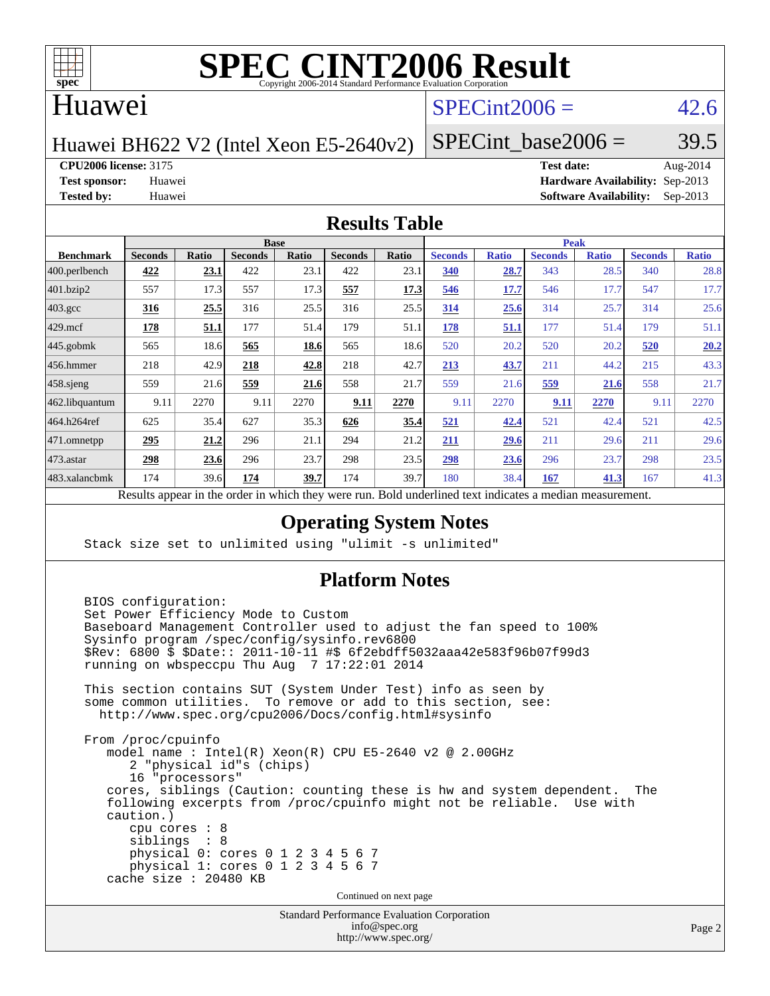

### Huawei

## $SPECint2006 = 42.6$  $SPECint2006 = 42.6$

Huawei BH622 V2 (Intel Xeon E5-2640v2)

SPECint base2006 =  $39.5$ 

**[CPU2006 license:](http://www.spec.org/auto/cpu2006/Docs/result-fields.html#CPU2006license)** 3175 **[Test date:](http://www.spec.org/auto/cpu2006/Docs/result-fields.html#Testdate)** Aug-2014

**[Test sponsor:](http://www.spec.org/auto/cpu2006/Docs/result-fields.html#Testsponsor)** Huawei **[Hardware Availability:](http://www.spec.org/auto/cpu2006/Docs/result-fields.html#HardwareAvailability)** Sep-2013 **[Tested by:](http://www.spec.org/auto/cpu2006/Docs/result-fields.html#Testedby)** Huawei **[Software Availability:](http://www.spec.org/auto/cpu2006/Docs/result-fields.html#SoftwareAvailability)** Sep-2013

### **[Results Table](http://www.spec.org/auto/cpu2006/Docs/result-fields.html#ResultsTable)**

|                    | <b>Base</b>                                                     |              |                |       |                |       | <b>Peak</b>                                    |              |                |              |                |              |
|--------------------|-----------------------------------------------------------------|--------------|----------------|-------|----------------|-------|------------------------------------------------|--------------|----------------|--------------|----------------|--------------|
| <b>Benchmark</b>   | <b>Seconds</b>                                                  | <b>Ratio</b> | <b>Seconds</b> | Ratio | <b>Seconds</b> | Ratio | <b>Seconds</b>                                 | <b>Ratio</b> | <b>Seconds</b> | <b>Ratio</b> | <b>Seconds</b> | <b>Ratio</b> |
| 400.perlbench      | 422                                                             | <u>23.1</u>  | 422            | 23.1  | 422            | 23.1  | 340                                            | 28.7         | 343            | 28.5         | 340            | 28.8         |
| 401.bzip2          | 557                                                             | 17.3         | 557            | 17.3  | 557            | 17.3  | 546                                            | 17.7         | 546            | 17.7         | 547            | 17.7         |
| $403.\mathrm{gcc}$ | 316                                                             | 25.5         | 316            | 25.5  | 316            | 25.5  | 314                                            | 25.6         | 314            | 25.7         | 314            | 25.6         |
| $429$ .mcf         | <u>178</u>                                                      | <u>51.1</u>  | 177            | 51.4  | 179            | 51.1  | 178                                            | <u>51.1</u>  | 177            | 51.4         | 179            | 51.1         |
| $445$ .gobmk       | 565                                                             | 18.6         | 565            | 18.6  | 565            | 18.6  | 520                                            | 20.2         | 520            | 20.2         | 520            | 20.2         |
| $456.$ hmmer       | 218                                                             | 42.9         | 218            | 42.8  | 218            | 42.7  | 213                                            | 43.7         | 211            | 44.2         | 215            | 43.3         |
| $458$ .sjeng       | 559                                                             | 21.6         | 559            | 21.6  | 558            | 21.7  | 559                                            | 21.6         | 559            | 21.6         | 558            | 21.7         |
| 462.libquantum     | 9.11                                                            | 2270         | 9.11           | 2270  | 9.11           | 2270  | 9.11                                           | 2270         | 9.11           | 2270         | 9.11           | 2270         |
| 464.h264ref        | 625                                                             | 35.4         | 627            | 35.3  | 626            | 35.4  | 521                                            | 42.4         | 521            | 42.4         | 521            | 42.5         |
| 471.omnetpp        | 295                                                             | 21.2         | 296            | 21.1  | 294            | 21.2  | 211                                            | 29.6         | 211            | 29.6         | 211            | 29.6         |
| $473$ . astar      | 298                                                             | 23.6         | 296            | 23.7  | 298            | 23.5  | 298                                            | 23.6         | 296            | 23.7         | 298            | 23.5         |
| 483.xalancbmk      | 174                                                             | 39.6         | 174            | 39.7  | 174            | 39.7  | 180                                            | 38.4         | 167            | 41.3         | 167            | 41.3         |
|                    | Describe announced to the conduction of the theory occupations. |              |                |       |                |       | Deld and called to change in discrete a modium |              |                |              |                |              |

Results appear in the [order in which they were run.](http://www.spec.org/auto/cpu2006/Docs/result-fields.html#RunOrder) Bold underlined text [indicates a median measurement.](http://www.spec.org/auto/cpu2006/Docs/result-fields.html#Median)

### **[Operating System Notes](http://www.spec.org/auto/cpu2006/Docs/result-fields.html#OperatingSystemNotes)**

Stack size set to unlimited using "ulimit -s unlimited"

### **[Platform Notes](http://www.spec.org/auto/cpu2006/Docs/result-fields.html#PlatformNotes)**

Standard Performance Evaluation Corporation [info@spec.org](mailto:info@spec.org) BIOS configuration: Set Power Efficiency Mode to Custom Baseboard Management Controller used to adjust the fan speed to 100% Sysinfo program /spec/config/sysinfo.rev6800 \$Rev: 6800 \$ \$Date:: 2011-10-11 #\$ 6f2ebdff5032aaa42e583f96b07f99d3 running on wbspeccpu Thu Aug 7 17:22:01 2014 This section contains SUT (System Under Test) info as seen by some common utilities. To remove or add to this section, see: <http://www.spec.org/cpu2006/Docs/config.html#sysinfo> From /proc/cpuinfo model name : Intel(R) Xeon(R) CPU E5-2640 v2 @ 2.00GHz 2 "physical id"s (chips) 16 "processors" cores, siblings (Caution: counting these is hw and system dependent. The following excerpts from /proc/cpuinfo might not be reliable. Use with caution.) cpu cores : 8 siblings : 8 physical 0: cores 0 1 2 3 4 5 6 7 physical 1: cores 0 1 2 3 4 5 6 7 cache size : 20480 KB Continued on next page

<http://www.spec.org/>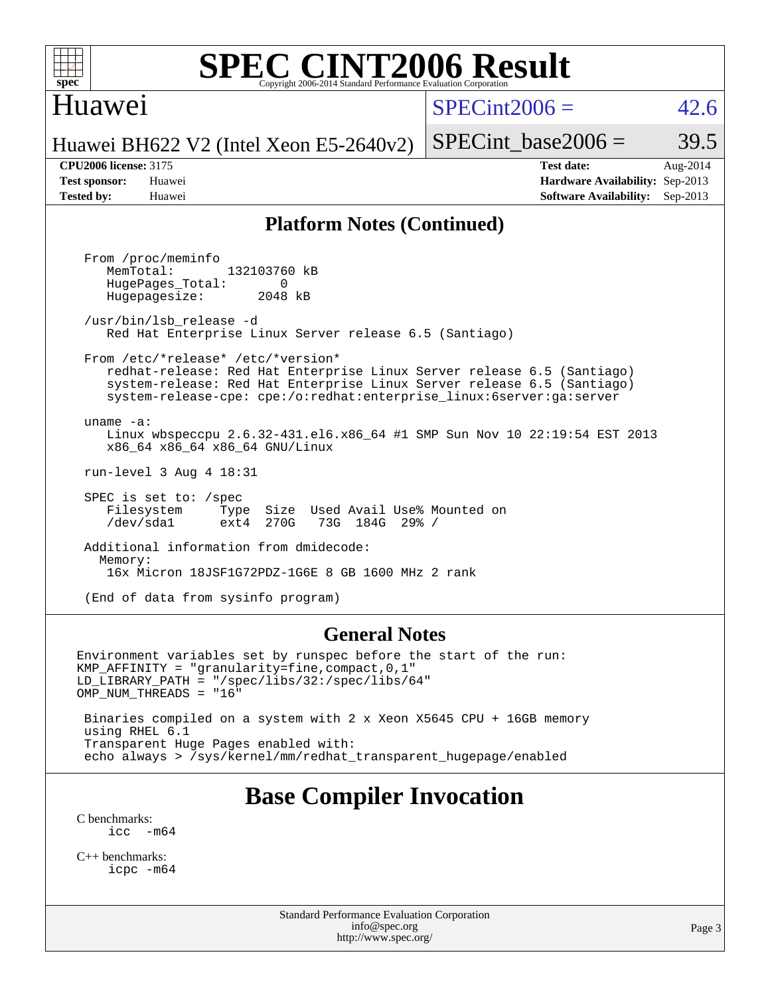

## Huawei

 $SPECint2006 = 42.6$  $SPECint2006 = 42.6$ 

Huawei BH622 V2 (Intel Xeon E5-2640v2)

SPECint base2006 =  $39.5$ 

**[CPU2006 license:](http://www.spec.org/auto/cpu2006/Docs/result-fields.html#CPU2006license)** 3175 **[Test date:](http://www.spec.org/auto/cpu2006/Docs/result-fields.html#Testdate)** Aug-2014 **[Test sponsor:](http://www.spec.org/auto/cpu2006/Docs/result-fields.html#Testsponsor)** Huawei **[Hardware Availability:](http://www.spec.org/auto/cpu2006/Docs/result-fields.html#HardwareAvailability)** Sep-2013 **[Tested by:](http://www.spec.org/auto/cpu2006/Docs/result-fields.html#Testedby)** Huawei **[Software Availability:](http://www.spec.org/auto/cpu2006/Docs/result-fields.html#SoftwareAvailability)** Sep-2013

### **[Platform Notes \(Continued\)](http://www.spec.org/auto/cpu2006/Docs/result-fields.html#PlatformNotes)**

 From /proc/meminfo MemTotal: 132103760 kB HugePages\_Total: 0<br>Hugepagesize: 2048 kB Hugepagesize: /usr/bin/lsb\_release -d Red Hat Enterprise Linux Server release 6.5 (Santiago) From /etc/\*release\* /etc/\*version\* redhat-release: Red Hat Enterprise Linux Server release 6.5 (Santiago) system-release: Red Hat Enterprise Linux Server release 6.5 (Santiago) system-release-cpe: cpe:/o:redhat:enterprise\_linux:6server:ga:server uname -a: Linux wbspeccpu 2.6.32-431.el6.x86\_64 #1 SMP Sun Nov 10 22:19:54 EST 2013 x86\_64 x86\_64 x86\_64 GNU/Linux run-level 3 Aug 4 18:31 SPEC is set to: /spec Filesystem Type Size Used Avail Use% Mounted on<br>
/dev/sdal ext4 270G 73G 184G 29% / /dev/sda1 ext4 270G 73G 184G 29% / Additional information from dmidecode: Memory: 16x Micron 18JSF1G72PDZ-1G6E 8 GB 1600 MHz 2 rank (End of data from sysinfo program)

### **[General Notes](http://www.spec.org/auto/cpu2006/Docs/result-fields.html#GeneralNotes)**

Environment variables set by runspec before the start of the run: KMP\_AFFINITY = "granularity=fine,compact,0,1" LD\_LIBRARY\_PATH = "/spec/libs/32:/spec/libs/64" OMP\_NUM\_THREADS = "16" Binaries compiled on a system with 2 x Xeon X5645 CPU + 16GB memory using RHEL 6.1

 Transparent Huge Pages enabled with: echo always > /sys/kernel/mm/redhat\_transparent\_hugepage/enabled

## **[Base Compiler Invocation](http://www.spec.org/auto/cpu2006/Docs/result-fields.html#BaseCompilerInvocation)**

[C benchmarks](http://www.spec.org/auto/cpu2006/Docs/result-fields.html#Cbenchmarks):  $\text{icc}$   $-\text{m64}$ 

[C++ benchmarks:](http://www.spec.org/auto/cpu2006/Docs/result-fields.html#CXXbenchmarks) [icpc -m64](http://www.spec.org/cpu2006/results/res2014q3/cpu2006-20140811-30883.flags.html#user_CXXbase_intel_icpc_64bit_fc66a5337ce925472a5c54ad6a0de310)

> Standard Performance Evaluation Corporation [info@spec.org](mailto:info@spec.org) <http://www.spec.org/>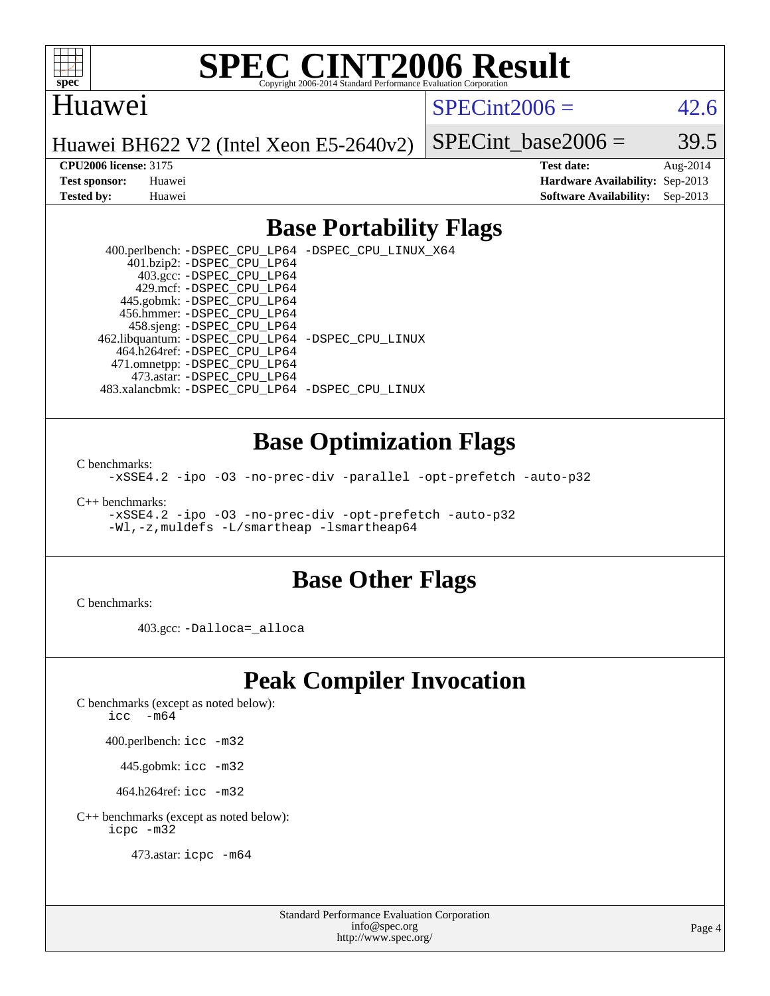

### Huawei

 $SPECint2006 = 42.6$  $SPECint2006 = 42.6$ 

Huawei BH622 V2 (Intel Xeon E5-2640v2)

SPECint base2006 =  $39.5$ 

**[CPU2006 license:](http://www.spec.org/auto/cpu2006/Docs/result-fields.html#CPU2006license)** 3175 **[Test date:](http://www.spec.org/auto/cpu2006/Docs/result-fields.html#Testdate)** Aug-2014 **[Test sponsor:](http://www.spec.org/auto/cpu2006/Docs/result-fields.html#Testsponsor)** Huawei **[Hardware Availability:](http://www.spec.org/auto/cpu2006/Docs/result-fields.html#HardwareAvailability)** Sep-2013 **[Tested by:](http://www.spec.org/auto/cpu2006/Docs/result-fields.html#Testedby)** Huawei **[Software Availability:](http://www.spec.org/auto/cpu2006/Docs/result-fields.html#SoftwareAvailability)** Sep-2013

### **[Base Portability Flags](http://www.spec.org/auto/cpu2006/Docs/result-fields.html#BasePortabilityFlags)**

 400.perlbench: [-DSPEC\\_CPU\\_LP64](http://www.spec.org/cpu2006/results/res2014q3/cpu2006-20140811-30883.flags.html#b400.perlbench_basePORTABILITY_DSPEC_CPU_LP64) [-DSPEC\\_CPU\\_LINUX\\_X64](http://www.spec.org/cpu2006/results/res2014q3/cpu2006-20140811-30883.flags.html#b400.perlbench_baseCPORTABILITY_DSPEC_CPU_LINUX_X64) 401.bzip2: [-DSPEC\\_CPU\\_LP64](http://www.spec.org/cpu2006/results/res2014q3/cpu2006-20140811-30883.flags.html#suite_basePORTABILITY401_bzip2_DSPEC_CPU_LP64) 403.gcc: [-DSPEC\\_CPU\\_LP64](http://www.spec.org/cpu2006/results/res2014q3/cpu2006-20140811-30883.flags.html#suite_basePORTABILITY403_gcc_DSPEC_CPU_LP64) 429.mcf: [-DSPEC\\_CPU\\_LP64](http://www.spec.org/cpu2006/results/res2014q3/cpu2006-20140811-30883.flags.html#suite_basePORTABILITY429_mcf_DSPEC_CPU_LP64) 445.gobmk: [-DSPEC\\_CPU\\_LP64](http://www.spec.org/cpu2006/results/res2014q3/cpu2006-20140811-30883.flags.html#suite_basePORTABILITY445_gobmk_DSPEC_CPU_LP64) 456.hmmer: [-DSPEC\\_CPU\\_LP64](http://www.spec.org/cpu2006/results/res2014q3/cpu2006-20140811-30883.flags.html#suite_basePORTABILITY456_hmmer_DSPEC_CPU_LP64) 458.sjeng: [-DSPEC\\_CPU\\_LP64](http://www.spec.org/cpu2006/results/res2014q3/cpu2006-20140811-30883.flags.html#suite_basePORTABILITY458_sjeng_DSPEC_CPU_LP64) 462.libquantum: [-DSPEC\\_CPU\\_LP64](http://www.spec.org/cpu2006/results/res2014q3/cpu2006-20140811-30883.flags.html#suite_basePORTABILITY462_libquantum_DSPEC_CPU_LP64) [-DSPEC\\_CPU\\_LINUX](http://www.spec.org/cpu2006/results/res2014q3/cpu2006-20140811-30883.flags.html#b462.libquantum_baseCPORTABILITY_DSPEC_CPU_LINUX) 464.h264ref: [-DSPEC\\_CPU\\_LP64](http://www.spec.org/cpu2006/results/res2014q3/cpu2006-20140811-30883.flags.html#suite_basePORTABILITY464_h264ref_DSPEC_CPU_LP64) 471.omnetpp: [-DSPEC\\_CPU\\_LP64](http://www.spec.org/cpu2006/results/res2014q3/cpu2006-20140811-30883.flags.html#suite_basePORTABILITY471_omnetpp_DSPEC_CPU_LP64) 473.astar: [-DSPEC\\_CPU\\_LP64](http://www.spec.org/cpu2006/results/res2014q3/cpu2006-20140811-30883.flags.html#suite_basePORTABILITY473_astar_DSPEC_CPU_LP64) 483.xalancbmk: [-DSPEC\\_CPU\\_LP64](http://www.spec.org/cpu2006/results/res2014q3/cpu2006-20140811-30883.flags.html#suite_basePORTABILITY483_xalancbmk_DSPEC_CPU_LP64) [-DSPEC\\_CPU\\_LINUX](http://www.spec.org/cpu2006/results/res2014q3/cpu2006-20140811-30883.flags.html#b483.xalancbmk_baseCXXPORTABILITY_DSPEC_CPU_LINUX)

### **[Base Optimization Flags](http://www.spec.org/auto/cpu2006/Docs/result-fields.html#BaseOptimizationFlags)**

[C benchmarks](http://www.spec.org/auto/cpu2006/Docs/result-fields.html#Cbenchmarks):

[-xSSE4.2](http://www.spec.org/cpu2006/results/res2014q3/cpu2006-20140811-30883.flags.html#user_CCbase_f-xSSE42_f91528193cf0b216347adb8b939d4107) [-ipo](http://www.spec.org/cpu2006/results/res2014q3/cpu2006-20140811-30883.flags.html#user_CCbase_f-ipo) [-O3](http://www.spec.org/cpu2006/results/res2014q3/cpu2006-20140811-30883.flags.html#user_CCbase_f-O3) [-no-prec-div](http://www.spec.org/cpu2006/results/res2014q3/cpu2006-20140811-30883.flags.html#user_CCbase_f-no-prec-div) [-parallel](http://www.spec.org/cpu2006/results/res2014q3/cpu2006-20140811-30883.flags.html#user_CCbase_f-parallel) [-opt-prefetch](http://www.spec.org/cpu2006/results/res2014q3/cpu2006-20140811-30883.flags.html#user_CCbase_f-opt-prefetch) [-auto-p32](http://www.spec.org/cpu2006/results/res2014q3/cpu2006-20140811-30883.flags.html#user_CCbase_f-auto-p32)

[C++ benchmarks:](http://www.spec.org/auto/cpu2006/Docs/result-fields.html#CXXbenchmarks)

[-xSSE4.2](http://www.spec.org/cpu2006/results/res2014q3/cpu2006-20140811-30883.flags.html#user_CXXbase_f-xSSE42_f91528193cf0b216347adb8b939d4107) [-ipo](http://www.spec.org/cpu2006/results/res2014q3/cpu2006-20140811-30883.flags.html#user_CXXbase_f-ipo) [-O3](http://www.spec.org/cpu2006/results/res2014q3/cpu2006-20140811-30883.flags.html#user_CXXbase_f-O3) [-no-prec-div](http://www.spec.org/cpu2006/results/res2014q3/cpu2006-20140811-30883.flags.html#user_CXXbase_f-no-prec-div) [-opt-prefetch](http://www.spec.org/cpu2006/results/res2014q3/cpu2006-20140811-30883.flags.html#user_CXXbase_f-opt-prefetch) [-auto-p32](http://www.spec.org/cpu2006/results/res2014q3/cpu2006-20140811-30883.flags.html#user_CXXbase_f-auto-p32) [-Wl,-z,muldefs](http://www.spec.org/cpu2006/results/res2014q3/cpu2006-20140811-30883.flags.html#user_CXXbase_link_force_multiple1_74079c344b956b9658436fd1b6dd3a8a) [-L/smartheap -lsmartheap64](http://www.spec.org/cpu2006/results/res2014q3/cpu2006-20140811-30883.flags.html#user_CXXbase_SmartHeap64_5e654037dadeae1fe403ab4b4466e60b)

### **[Base Other Flags](http://www.spec.org/auto/cpu2006/Docs/result-fields.html#BaseOtherFlags)**

[C benchmarks](http://www.spec.org/auto/cpu2006/Docs/result-fields.html#Cbenchmarks):

403.gcc: [-Dalloca=\\_alloca](http://www.spec.org/cpu2006/results/res2014q3/cpu2006-20140811-30883.flags.html#b403.gcc_baseEXTRA_CFLAGS_Dalloca_be3056838c12de2578596ca5467af7f3)

## **[Peak Compiler Invocation](http://www.spec.org/auto/cpu2006/Docs/result-fields.html#PeakCompilerInvocation)**

[C benchmarks \(except as noted below\)](http://www.spec.org/auto/cpu2006/Docs/result-fields.html#Cbenchmarksexceptasnotedbelow):

[icc -m64](http://www.spec.org/cpu2006/results/res2014q3/cpu2006-20140811-30883.flags.html#user_CCpeak_intel_icc_64bit_f346026e86af2a669e726fe758c88044)

400.perlbench: [icc -m32](http://www.spec.org/cpu2006/results/res2014q3/cpu2006-20140811-30883.flags.html#user_peakCCLD400_perlbench_intel_icc_a6a621f8d50482236b970c6ac5f55f93)

445.gobmk: [icc -m32](http://www.spec.org/cpu2006/results/res2014q3/cpu2006-20140811-30883.flags.html#user_peakCCLD445_gobmk_intel_icc_a6a621f8d50482236b970c6ac5f55f93)

464.h264ref: [icc -m32](http://www.spec.org/cpu2006/results/res2014q3/cpu2006-20140811-30883.flags.html#user_peakCCLD464_h264ref_intel_icc_a6a621f8d50482236b970c6ac5f55f93)

[C++ benchmarks \(except as noted below\):](http://www.spec.org/auto/cpu2006/Docs/result-fields.html#CXXbenchmarksexceptasnotedbelow) [icpc -m32](http://www.spec.org/cpu2006/results/res2014q3/cpu2006-20140811-30883.flags.html#user_CXXpeak_intel_icpc_4e5a5ef1a53fd332b3c49e69c3330699)

473.astar: [icpc -m64](http://www.spec.org/cpu2006/results/res2014q3/cpu2006-20140811-30883.flags.html#user_peakCXXLD473_astar_intel_icpc_64bit_fc66a5337ce925472a5c54ad6a0de310)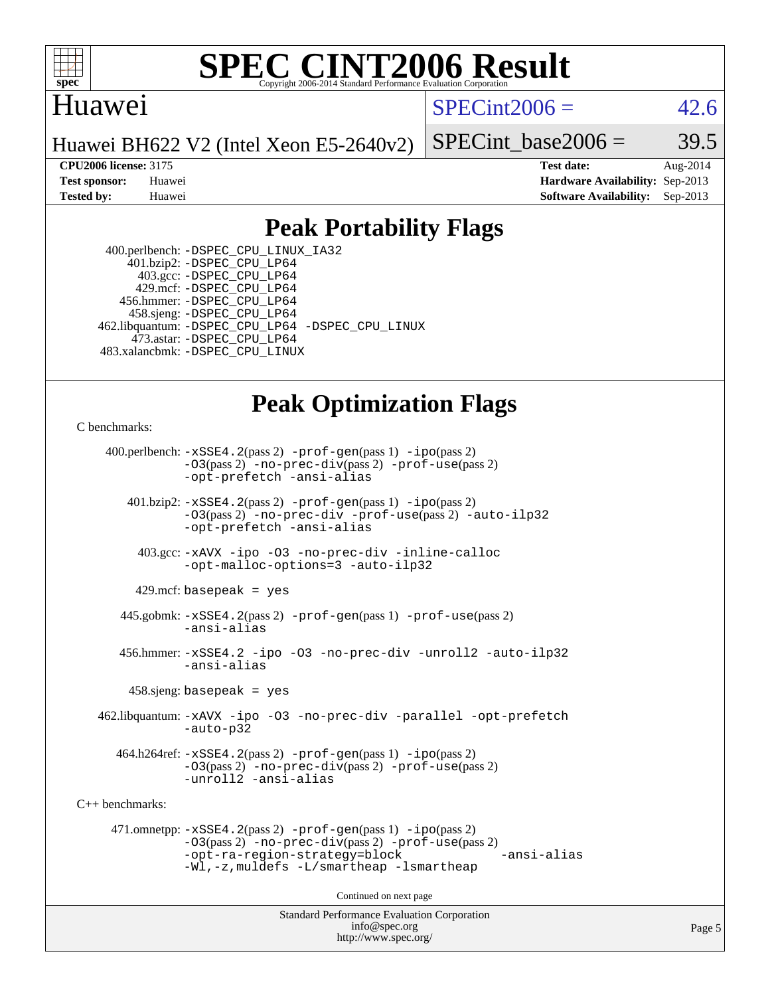

### Huawei

 $SPECint2006 = 42.6$  $SPECint2006 = 42.6$ 

Huawei BH622 V2 (Intel Xeon E5-2640v2)

SPECint base2006 =  $39.5$ 

**[CPU2006 license:](http://www.spec.org/auto/cpu2006/Docs/result-fields.html#CPU2006license)** 3175 **[Test date:](http://www.spec.org/auto/cpu2006/Docs/result-fields.html#Testdate)** Aug-2014 **[Test sponsor:](http://www.spec.org/auto/cpu2006/Docs/result-fields.html#Testsponsor)** Huawei **[Hardware Availability:](http://www.spec.org/auto/cpu2006/Docs/result-fields.html#HardwareAvailability)** Sep-2013 **[Tested by:](http://www.spec.org/auto/cpu2006/Docs/result-fields.html#Testedby)** Huawei **[Software Availability:](http://www.spec.org/auto/cpu2006/Docs/result-fields.html#SoftwareAvailability)** Sep-2013

### **[Peak Portability Flags](http://www.spec.org/auto/cpu2006/Docs/result-fields.html#PeakPortabilityFlags)**

 400.perlbench: [-DSPEC\\_CPU\\_LINUX\\_IA32](http://www.spec.org/cpu2006/results/res2014q3/cpu2006-20140811-30883.flags.html#b400.perlbench_peakCPORTABILITY_DSPEC_CPU_LINUX_IA32) 401.bzip2: [-DSPEC\\_CPU\\_LP64](http://www.spec.org/cpu2006/results/res2014q3/cpu2006-20140811-30883.flags.html#suite_peakPORTABILITY401_bzip2_DSPEC_CPU_LP64) 403.gcc: [-DSPEC\\_CPU\\_LP64](http://www.spec.org/cpu2006/results/res2014q3/cpu2006-20140811-30883.flags.html#suite_peakPORTABILITY403_gcc_DSPEC_CPU_LP64) 429.mcf: [-DSPEC\\_CPU\\_LP64](http://www.spec.org/cpu2006/results/res2014q3/cpu2006-20140811-30883.flags.html#suite_peakPORTABILITY429_mcf_DSPEC_CPU_LP64) 456.hmmer: [-DSPEC\\_CPU\\_LP64](http://www.spec.org/cpu2006/results/res2014q3/cpu2006-20140811-30883.flags.html#suite_peakPORTABILITY456_hmmer_DSPEC_CPU_LP64) 458.sjeng: [-DSPEC\\_CPU\\_LP64](http://www.spec.org/cpu2006/results/res2014q3/cpu2006-20140811-30883.flags.html#suite_peakPORTABILITY458_sjeng_DSPEC_CPU_LP64) 462.libquantum: [-DSPEC\\_CPU\\_LP64](http://www.spec.org/cpu2006/results/res2014q3/cpu2006-20140811-30883.flags.html#suite_peakPORTABILITY462_libquantum_DSPEC_CPU_LP64) [-DSPEC\\_CPU\\_LINUX](http://www.spec.org/cpu2006/results/res2014q3/cpu2006-20140811-30883.flags.html#b462.libquantum_peakCPORTABILITY_DSPEC_CPU_LINUX) 473.astar: [-DSPEC\\_CPU\\_LP64](http://www.spec.org/cpu2006/results/res2014q3/cpu2006-20140811-30883.flags.html#suite_peakPORTABILITY473_astar_DSPEC_CPU_LP64) 483.xalancbmk: [-DSPEC\\_CPU\\_LINUX](http://www.spec.org/cpu2006/results/res2014q3/cpu2006-20140811-30883.flags.html#b483.xalancbmk_peakCXXPORTABILITY_DSPEC_CPU_LINUX)

## **[Peak Optimization Flags](http://www.spec.org/auto/cpu2006/Docs/result-fields.html#PeakOptimizationFlags)**

[C benchmarks](http://www.spec.org/auto/cpu2006/Docs/result-fields.html#Cbenchmarks):

 400.perlbench: [-xSSE4.2](http://www.spec.org/cpu2006/results/res2014q3/cpu2006-20140811-30883.flags.html#user_peakPASS2_CFLAGSPASS2_LDCFLAGS400_perlbench_f-xSSE42_f91528193cf0b216347adb8b939d4107)(pass 2) [-prof-gen](http://www.spec.org/cpu2006/results/res2014q3/cpu2006-20140811-30883.flags.html#user_peakPASS1_CFLAGSPASS1_LDCFLAGS400_perlbench_prof_gen_e43856698f6ca7b7e442dfd80e94a8fc)(pass 1) [-ipo](http://www.spec.org/cpu2006/results/res2014q3/cpu2006-20140811-30883.flags.html#user_peakPASS2_CFLAGSPASS2_LDCFLAGS400_perlbench_f-ipo)(pass 2) [-O3](http://www.spec.org/cpu2006/results/res2014q3/cpu2006-20140811-30883.flags.html#user_peakPASS2_CFLAGSPASS2_LDCFLAGS400_perlbench_f-O3)(pass 2) [-no-prec-div](http://www.spec.org/cpu2006/results/res2014q3/cpu2006-20140811-30883.flags.html#user_peakPASS2_CFLAGSPASS2_LDCFLAGS400_perlbench_f-no-prec-div)(pass 2) [-prof-use](http://www.spec.org/cpu2006/results/res2014q3/cpu2006-20140811-30883.flags.html#user_peakPASS2_CFLAGSPASS2_LDCFLAGS400_perlbench_prof_use_bccf7792157ff70d64e32fe3e1250b55)(pass 2) [-opt-prefetch](http://www.spec.org/cpu2006/results/res2014q3/cpu2006-20140811-30883.flags.html#user_peakCOPTIMIZE400_perlbench_f-opt-prefetch) [-ansi-alias](http://www.spec.org/cpu2006/results/res2014q3/cpu2006-20140811-30883.flags.html#user_peakCOPTIMIZE400_perlbench_f-ansi-alias) 401.bzip2: [-xSSE4.2](http://www.spec.org/cpu2006/results/res2014q3/cpu2006-20140811-30883.flags.html#user_peakPASS2_CFLAGSPASS2_LDCFLAGS401_bzip2_f-xSSE42_f91528193cf0b216347adb8b939d4107)(pass 2) [-prof-gen](http://www.spec.org/cpu2006/results/res2014q3/cpu2006-20140811-30883.flags.html#user_peakPASS1_CFLAGSPASS1_LDCFLAGS401_bzip2_prof_gen_e43856698f6ca7b7e442dfd80e94a8fc)(pass 1) [-ipo](http://www.spec.org/cpu2006/results/res2014q3/cpu2006-20140811-30883.flags.html#user_peakPASS2_CFLAGSPASS2_LDCFLAGS401_bzip2_f-ipo)(pass 2) [-O3](http://www.spec.org/cpu2006/results/res2014q3/cpu2006-20140811-30883.flags.html#user_peakPASS2_CFLAGSPASS2_LDCFLAGS401_bzip2_f-O3)(pass 2) [-no-prec-div](http://www.spec.org/cpu2006/results/res2014q3/cpu2006-20140811-30883.flags.html#user_peakCOPTIMIZEPASS2_CFLAGSPASS2_LDCFLAGS401_bzip2_f-no-prec-div) [-prof-use](http://www.spec.org/cpu2006/results/res2014q3/cpu2006-20140811-30883.flags.html#user_peakPASS2_CFLAGSPASS2_LDCFLAGS401_bzip2_prof_use_bccf7792157ff70d64e32fe3e1250b55)(pass 2) [-auto-ilp32](http://www.spec.org/cpu2006/results/res2014q3/cpu2006-20140811-30883.flags.html#user_peakCOPTIMIZE401_bzip2_f-auto-ilp32) [-opt-prefetch](http://www.spec.org/cpu2006/results/res2014q3/cpu2006-20140811-30883.flags.html#user_peakCOPTIMIZE401_bzip2_f-opt-prefetch) [-ansi-alias](http://www.spec.org/cpu2006/results/res2014q3/cpu2006-20140811-30883.flags.html#user_peakCOPTIMIZE401_bzip2_f-ansi-alias) 403.gcc: [-xAVX](http://www.spec.org/cpu2006/results/res2014q3/cpu2006-20140811-30883.flags.html#user_peakCOPTIMIZE403_gcc_f-xAVX) [-ipo](http://www.spec.org/cpu2006/results/res2014q3/cpu2006-20140811-30883.flags.html#user_peakCOPTIMIZE403_gcc_f-ipo) [-O3](http://www.spec.org/cpu2006/results/res2014q3/cpu2006-20140811-30883.flags.html#user_peakCOPTIMIZE403_gcc_f-O3) [-no-prec-div](http://www.spec.org/cpu2006/results/res2014q3/cpu2006-20140811-30883.flags.html#user_peakCOPTIMIZE403_gcc_f-no-prec-div) [-inline-calloc](http://www.spec.org/cpu2006/results/res2014q3/cpu2006-20140811-30883.flags.html#user_peakCOPTIMIZE403_gcc_f-inline-calloc) [-opt-malloc-options=3](http://www.spec.org/cpu2006/results/res2014q3/cpu2006-20140811-30883.flags.html#user_peakCOPTIMIZE403_gcc_f-opt-malloc-options_13ab9b803cf986b4ee62f0a5998c2238) [-auto-ilp32](http://www.spec.org/cpu2006/results/res2014q3/cpu2006-20140811-30883.flags.html#user_peakCOPTIMIZE403_gcc_f-auto-ilp32)  $429$ .mcf: basepeak = yes 445.gobmk: [-xSSE4.2](http://www.spec.org/cpu2006/results/res2014q3/cpu2006-20140811-30883.flags.html#user_peakPASS2_CFLAGSPASS2_LDCFLAGS445_gobmk_f-xSSE42_f91528193cf0b216347adb8b939d4107)(pass 2) [-prof-gen](http://www.spec.org/cpu2006/results/res2014q3/cpu2006-20140811-30883.flags.html#user_peakPASS1_CFLAGSPASS1_LDCFLAGS445_gobmk_prof_gen_e43856698f6ca7b7e442dfd80e94a8fc)(pass 1) [-prof-use](http://www.spec.org/cpu2006/results/res2014q3/cpu2006-20140811-30883.flags.html#user_peakPASS2_CFLAGSPASS2_LDCFLAGS445_gobmk_prof_use_bccf7792157ff70d64e32fe3e1250b55)(pass 2) [-ansi-alias](http://www.spec.org/cpu2006/results/res2014q3/cpu2006-20140811-30883.flags.html#user_peakCOPTIMIZE445_gobmk_f-ansi-alias) 456.hmmer: [-xSSE4.2](http://www.spec.org/cpu2006/results/res2014q3/cpu2006-20140811-30883.flags.html#user_peakCOPTIMIZE456_hmmer_f-xSSE42_f91528193cf0b216347adb8b939d4107) [-ipo](http://www.spec.org/cpu2006/results/res2014q3/cpu2006-20140811-30883.flags.html#user_peakCOPTIMIZE456_hmmer_f-ipo) [-O3](http://www.spec.org/cpu2006/results/res2014q3/cpu2006-20140811-30883.flags.html#user_peakCOPTIMIZE456_hmmer_f-O3) [-no-prec-div](http://www.spec.org/cpu2006/results/res2014q3/cpu2006-20140811-30883.flags.html#user_peakCOPTIMIZE456_hmmer_f-no-prec-div) [-unroll2](http://www.spec.org/cpu2006/results/res2014q3/cpu2006-20140811-30883.flags.html#user_peakCOPTIMIZE456_hmmer_f-unroll_784dae83bebfb236979b41d2422d7ec2) [-auto-ilp32](http://www.spec.org/cpu2006/results/res2014q3/cpu2006-20140811-30883.flags.html#user_peakCOPTIMIZE456_hmmer_f-auto-ilp32) [-ansi-alias](http://www.spec.org/cpu2006/results/res2014q3/cpu2006-20140811-30883.flags.html#user_peakCOPTIMIZE456_hmmer_f-ansi-alias) 458.sjeng: basepeak = yes 462.libquantum: [-xAVX](http://www.spec.org/cpu2006/results/res2014q3/cpu2006-20140811-30883.flags.html#user_peakCOPTIMIZE462_libquantum_f-xAVX) [-ipo](http://www.spec.org/cpu2006/results/res2014q3/cpu2006-20140811-30883.flags.html#user_peakCOPTIMIZE462_libquantum_f-ipo) [-O3](http://www.spec.org/cpu2006/results/res2014q3/cpu2006-20140811-30883.flags.html#user_peakCOPTIMIZE462_libquantum_f-O3) [-no-prec-div](http://www.spec.org/cpu2006/results/res2014q3/cpu2006-20140811-30883.flags.html#user_peakCOPTIMIZE462_libquantum_f-no-prec-div) [-parallel](http://www.spec.org/cpu2006/results/res2014q3/cpu2006-20140811-30883.flags.html#user_peakCOPTIMIZE462_libquantum_f-parallel) [-opt-prefetch](http://www.spec.org/cpu2006/results/res2014q3/cpu2006-20140811-30883.flags.html#user_peakCOPTIMIZE462_libquantum_f-opt-prefetch) [-auto-p32](http://www.spec.org/cpu2006/results/res2014q3/cpu2006-20140811-30883.flags.html#user_peakCOPTIMIZE462_libquantum_f-auto-p32) 464.h264ref: [-xSSE4.2](http://www.spec.org/cpu2006/results/res2014q3/cpu2006-20140811-30883.flags.html#user_peakPASS2_CFLAGSPASS2_LDCFLAGS464_h264ref_f-xSSE42_f91528193cf0b216347adb8b939d4107)(pass 2) [-prof-gen](http://www.spec.org/cpu2006/results/res2014q3/cpu2006-20140811-30883.flags.html#user_peakPASS1_CFLAGSPASS1_LDCFLAGS464_h264ref_prof_gen_e43856698f6ca7b7e442dfd80e94a8fc)(pass 1) [-ipo](http://www.spec.org/cpu2006/results/res2014q3/cpu2006-20140811-30883.flags.html#user_peakPASS2_CFLAGSPASS2_LDCFLAGS464_h264ref_f-ipo)(pass 2) [-O3](http://www.spec.org/cpu2006/results/res2014q3/cpu2006-20140811-30883.flags.html#user_peakPASS2_CFLAGSPASS2_LDCFLAGS464_h264ref_f-O3)(pass 2) [-no-prec-div](http://www.spec.org/cpu2006/results/res2014q3/cpu2006-20140811-30883.flags.html#user_peakPASS2_CFLAGSPASS2_LDCFLAGS464_h264ref_f-no-prec-div)(pass 2) [-prof-use](http://www.spec.org/cpu2006/results/res2014q3/cpu2006-20140811-30883.flags.html#user_peakPASS2_CFLAGSPASS2_LDCFLAGS464_h264ref_prof_use_bccf7792157ff70d64e32fe3e1250b55)(pass 2) [-unroll2](http://www.spec.org/cpu2006/results/res2014q3/cpu2006-20140811-30883.flags.html#user_peakCOPTIMIZE464_h264ref_f-unroll_784dae83bebfb236979b41d2422d7ec2) [-ansi-alias](http://www.spec.org/cpu2006/results/res2014q3/cpu2006-20140811-30883.flags.html#user_peakCOPTIMIZE464_h264ref_f-ansi-alias) [C++ benchmarks:](http://www.spec.org/auto/cpu2006/Docs/result-fields.html#CXXbenchmarks) 471.omnetpp: [-xSSE4.2](http://www.spec.org/cpu2006/results/res2014q3/cpu2006-20140811-30883.flags.html#user_peakPASS2_CXXFLAGSPASS2_LDCXXFLAGS471_omnetpp_f-xSSE42_f91528193cf0b216347adb8b939d4107)(pass 2) [-prof-gen](http://www.spec.org/cpu2006/results/res2014q3/cpu2006-20140811-30883.flags.html#user_peakPASS1_CXXFLAGSPASS1_LDCXXFLAGS471_omnetpp_prof_gen_e43856698f6ca7b7e442dfd80e94a8fc)(pass 1) [-ipo](http://www.spec.org/cpu2006/results/res2014q3/cpu2006-20140811-30883.flags.html#user_peakPASS2_CXXFLAGSPASS2_LDCXXFLAGS471_omnetpp_f-ipo)(pass 2) [-O3](http://www.spec.org/cpu2006/results/res2014q3/cpu2006-20140811-30883.flags.html#user_peakPASS2_CXXFLAGSPASS2_LDCXXFLAGS471_omnetpp_f-O3)(pass 2) [-no-prec-div](http://www.spec.org/cpu2006/results/res2014q3/cpu2006-20140811-30883.flags.html#user_peakPASS2_CXXFLAGSPASS2_LDCXXFLAGS471_omnetpp_f-no-prec-div)(pass 2) [-prof-use](http://www.spec.org/cpu2006/results/res2014q3/cpu2006-20140811-30883.flags.html#user_peakPASS2_CXXFLAGSPASS2_LDCXXFLAGS471_omnetpp_prof_use_bccf7792157ff70d64e32fe3e1250b55)(pass 2) [-opt-ra-region-strategy=block](http://www.spec.org/cpu2006/results/res2014q3/cpu2006-20140811-30883.flags.html#user_peakCXXOPTIMIZE471_omnetpp_f-opt-ra-region-strategy_5382940c29ea30302d682fc74bfe0147) [-ansi-alias](http://www.spec.org/cpu2006/results/res2014q3/cpu2006-20140811-30883.flags.html#user_peakCXXOPTIMIZE471_omnetpp_f-ansi-alias) [-Wl,-z,muldefs](http://www.spec.org/cpu2006/results/res2014q3/cpu2006-20140811-30883.flags.html#user_peakEXTRA_LDFLAGS471_omnetpp_link_force_multiple1_74079c344b956b9658436fd1b6dd3a8a) [-L/smartheap -lsmartheap](http://www.spec.org/cpu2006/results/res2014q3/cpu2006-20140811-30883.flags.html#user_peakEXTRA_LIBS471_omnetpp_SmartHeap_7c9e394a5779e1a7fec7c221e123830c) Continued on next page

> Standard Performance Evaluation Corporation [info@spec.org](mailto:info@spec.org) <http://www.spec.org/>